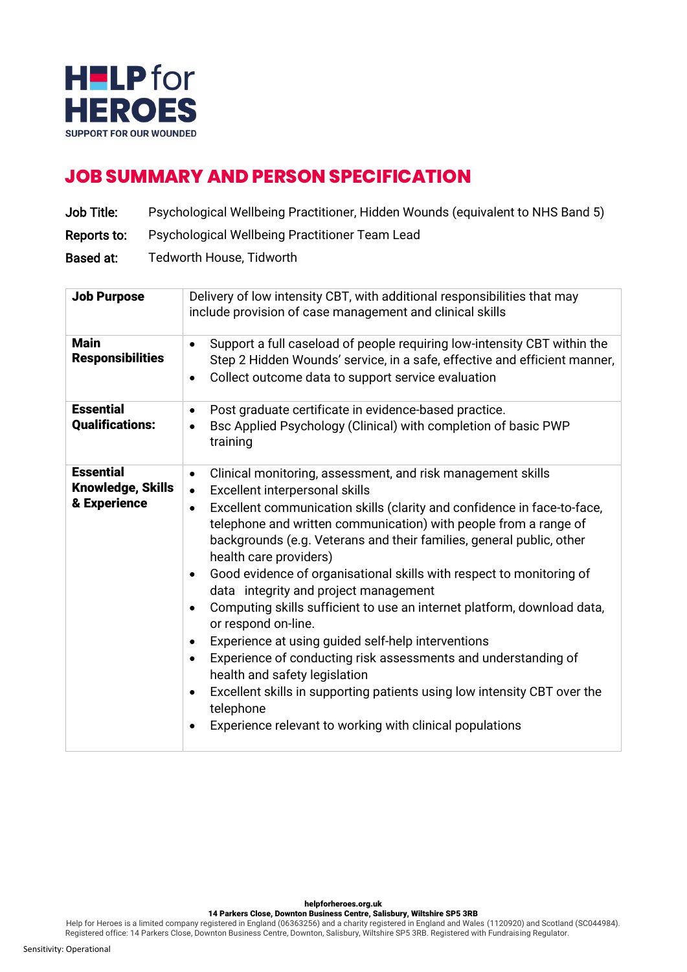

## **JOB SUMMARY AND PERSON SPECIFICATION**

- Job Title: Psychological Wellbeing Practitioner, Hidden Wounds (equivalent to NHS Band 5)
- Reports to: Psychological Wellbeing Practitioner Team Lead
- Based at: Tedworth House, Tidworth

| <b>Job Purpose</b>                                    | Delivery of low intensity CBT, with additional responsibilities that may<br>include provision of case management and clinical skills                                                                                                                                                                                                                                                                                                                                                                                                                                                                                                                                                                                                                                                                                                                                                                                                                                       |
|-------------------------------------------------------|----------------------------------------------------------------------------------------------------------------------------------------------------------------------------------------------------------------------------------------------------------------------------------------------------------------------------------------------------------------------------------------------------------------------------------------------------------------------------------------------------------------------------------------------------------------------------------------------------------------------------------------------------------------------------------------------------------------------------------------------------------------------------------------------------------------------------------------------------------------------------------------------------------------------------------------------------------------------------|
| <b>Main</b><br><b>Responsibilities</b>                | Support a full caseload of people requiring low-intensity CBT within the<br>$\bullet$<br>Step 2 Hidden Wounds' service, in a safe, effective and efficient manner,<br>Collect outcome data to support service evaluation<br>٠                                                                                                                                                                                                                                                                                                                                                                                                                                                                                                                                                                                                                                                                                                                                              |
| <b>Essential</b><br><b>Qualifications:</b>            | Post graduate certificate in evidence-based practice.<br>$\bullet$<br>Bsc Applied Psychology (Clinical) with completion of basic PWP<br>$\bullet$<br>training                                                                                                                                                                                                                                                                                                                                                                                                                                                                                                                                                                                                                                                                                                                                                                                                              |
| <b>Essential</b><br>Knowledge, Skills<br>& Experience | Clinical monitoring, assessment, and risk management skills<br>$\bullet$<br>Excellent interpersonal skills<br>$\bullet$<br>Excellent communication skills (clarity and confidence in face-to-face,<br>$\bullet$<br>telephone and written communication) with people from a range of<br>backgrounds (e.g. Veterans and their families, general public, other<br>health care providers)<br>Good evidence of organisational skills with respect to monitoring of<br>$\bullet$<br>data integrity and project management<br>Computing skills sufficient to use an internet platform, download data,<br>or respond on-line.<br>Experience at using guided self-help interventions<br>$\bullet$<br>Experience of conducting risk assessments and understanding of<br>$\bullet$<br>health and safety legislation<br>Excellent skills in supporting patients using low intensity CBT over the<br>$\bullet$<br>telephone<br>Experience relevant to working with clinical populations |